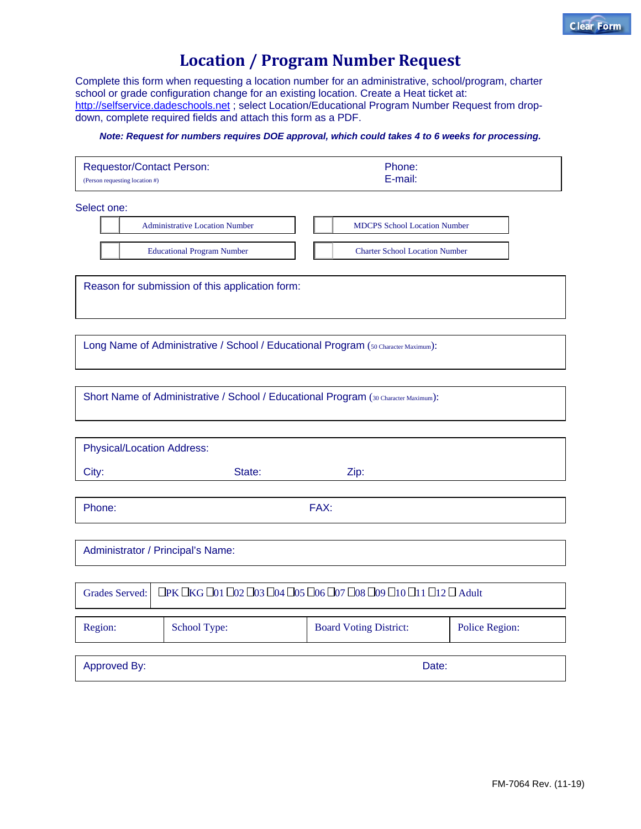## **Location / Program Number Request**

Complete this form when requesting a location number for an administrative, school/program, charter school or grade configuration change for an existing location. Create a Heat ticket at: http://selfservice.dadeschools.net ; select Location/Educational Program Number Request from dropdown, complete required fields and attach this form as a PDF.

## *Note: Request for numbers requires DOE approval, which could takes 4 to 6 weeks for processing.*

| <b>Requestor/Contact Person:</b> | Phone:  |
|----------------------------------|---------|
| (Person requesting location #)   | E-mail: |

Select one:

Administrative Location Number | | | MDCPS School Location Number Educational Program Number  $\parallel \parallel$  Charter School Location Number

Reason for submission of this application form:

Long Name of Administrative / School / Educational Program (50 Character Maximum):

Short Name of Administrative / School / Educational Program (30 Character Maximum):

| <b>Physical/Location Address:</b>                                                   |              |                               |                |  |
|-------------------------------------------------------------------------------------|--------------|-------------------------------|----------------|--|
| City:                                                                               | State:       | Zip:                          |                |  |
|                                                                                     |              |                               |                |  |
| FAX:<br>Phone:                                                                      |              |                               |                |  |
|                                                                                     |              |                               |                |  |
| Administrator / Principal's Name:                                                   |              |                               |                |  |
|                                                                                     |              |                               |                |  |
| □ ПРК ПКС П01 П02 П03 П04 П05 П06 П07 П08 П09 П10 П11 П12 П Adult<br>Grades Served: |              |                               |                |  |
|                                                                                     |              |                               |                |  |
| Region:                                                                             | School Type: | <b>Board Voting District:</b> | Police Region: |  |

Approved By: **Date: Date: Date: Date: Date: Date: Date: Date: Date: Date: Date: Date: Date: Date: Date: Date: Date: Date: Date: Date: Date: Date: Date: Date: Date: Date:**